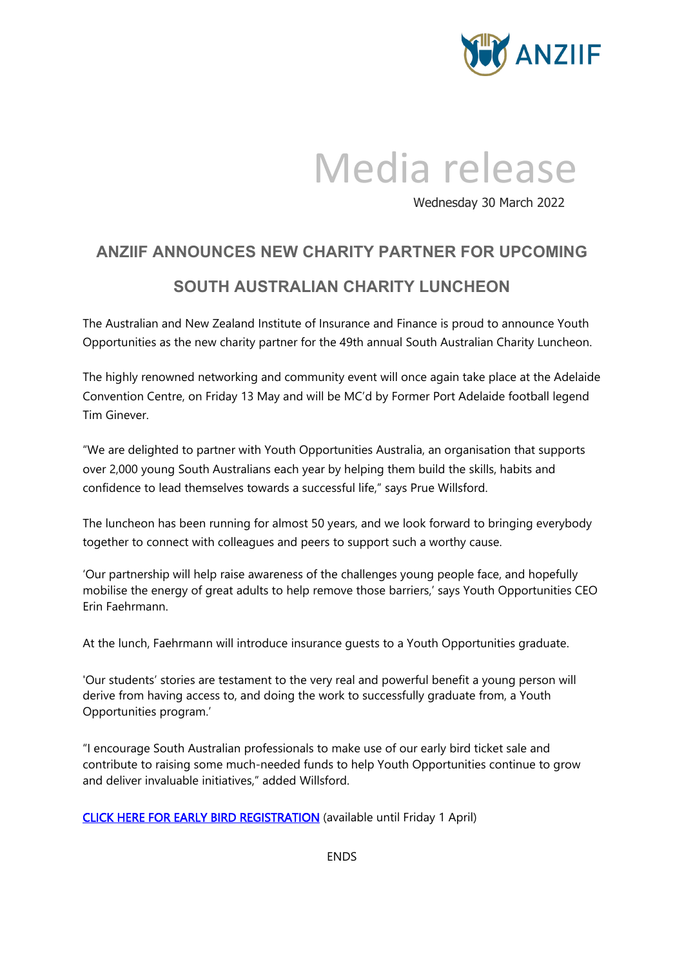

## Media release

Wednesday 30 March 2022

## **ANZIIF ANNOUNCES NEW CHARITY PARTNER FOR UPCOMING SOUTH AUSTRALIAN CHARITY LUNCHEON**

The Australian and New Zealand Institute of Insurance and Finance is proud to announce Youth Opportunities as the new charity partner for the 49th annual South Australian Charity Luncheon.

The highly renowned networking and community event will once again take place at the Adelaide Convention Centre, on Friday 13 May and will be MC'd by Former Port Adelaide football legend Tim Ginever.

"We are delighted to partner with Youth Opportunities Australia, an organisation that supports over 2,000 young South Australians each year by helping them build the skills, habits and confidence to lead themselves towards a successful life," says Prue Willsford.

The luncheon has been running for almost 50 years, and we look forward to bringing everybody together to connect with colleagues and peers to support such a worthy cause.

'Our partnership will help raise awareness of the challenges young people face, and hopefully mobilise the energy of great adults to help remove those barriers,' says Youth Opportunities CEO Erin Faehrmann.

At the lunch, Faehrmann will introduce insurance guests to a Youth Opportunities graduate.

'Our students' stories are testament to the very real and powerful benefit a young person will derive from having access to, and doing the work to successfully graduate from, a Youth Opportunities program.'

"I encourage South Australian professionals to make use of our early bird ticket sale and contribute to raising some much-needed funds to help Youth Opportunities continue to grow and deliver invaluable initiatives," added Willsford.

[CLICK HERE FOR EARLY BIRD REGISTRATION](https://anziif.com/professional-development/events/south-australian-charity-luncheon) (available until Friday 1 April)

ENDS